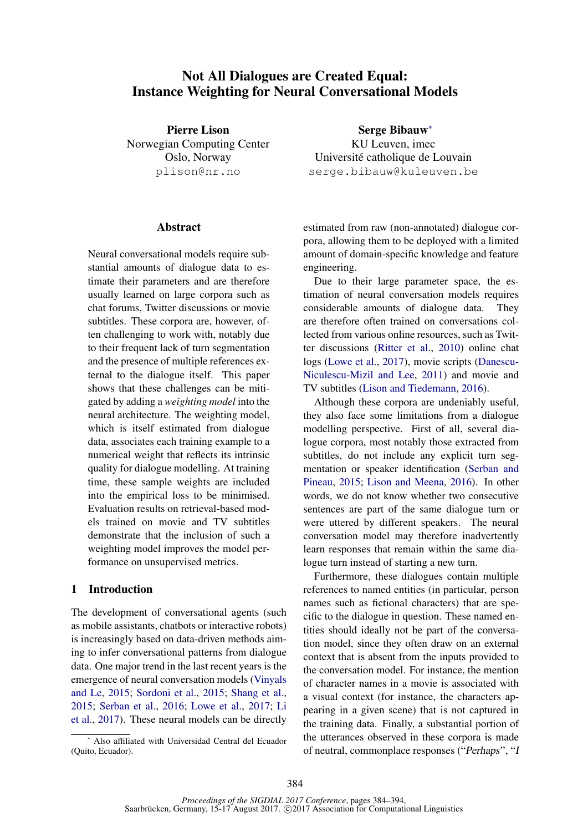# Not All Dialogues are Created Equal: Instance Weighting for Neural Conversational Models

Pierre Lison Norwegian Computing Center Oslo, Norway plison@nr.no

### **Abstract**

Neural conversational models require substantial amounts of dialogue data to estimate their parameters and are therefore usually learned on large corpora such as chat forums, Twitter discussions or movie subtitles. These corpora are, however, often challenging to work with, notably due to their frequent lack of turn segmentation and the presence of multiple references external to the dialogue itself. This paper shows that these challenges can be mitigated by adding a *weighting model* into the neural architecture. The weighting model, which is itself estimated from dialogue data, associates each training example to a numerical weight that reflects its intrinsic quality for dialogue modelling. At training time, these sample weights are included into the empirical loss to be minimised. Evaluation results on retrieval-based models trained on movie and TV subtitles demonstrate that the inclusion of such a weighting model improves the model performance on unsupervised metrics.

# 1 Introduction

The development of conversational agents (such as mobile assistants, chatbots or interactive robots) is increasingly based on data-driven methods aiming to infer conversational patterns from dialogue data. One major trend in the last recent years is the emergence of neural conversation models (Vinyals and Le, 2015; Sordoni et al., 2015; Shang et al., 2015; Serban et al., 2016; Lowe et al., 2017; Li et al., 2017). These neural models can be directly

<sup>∗</sup> Also affiliated with Universidad Central del Ecuador (Quito, Ecuador).

Serge Bibauw<sup>∗</sup> KU Leuven, imec Université catholique de Louvain serge.bibauw@kuleuven.be

estimated from raw (non-annotated) dialogue corpora, allowing them to be deployed with a limited amount of domain-specific knowledge and feature engineering.

Due to their large parameter space, the estimation of neural conversation models requires considerable amounts of dialogue data. They are therefore often trained on conversations collected from various online resources, such as Twitter discussions (Ritter et al., 2010) online chat logs (Lowe et al., 2017), movie scripts (Danescu-Niculescu-Mizil and Lee, 2011) and movie and TV subtitles (Lison and Tiedemann, 2016).

Although these corpora are undeniably useful, they also face some limitations from a dialogue modelling perspective. First of all, several dialogue corpora, most notably those extracted from subtitles, do not include any explicit turn segmentation or speaker identification (Serban and Pineau, 2015; Lison and Meena, 2016). In other words, we do not know whether two consecutive sentences are part of the same dialogue turn or were uttered by different speakers. The neural conversation model may therefore inadvertently learn responses that remain within the same dialogue turn instead of starting a new turn.

Furthermore, these dialogues contain multiple references to named entities (in particular, person names such as fictional characters) that are specific to the dialogue in question. These named entities should ideally not be part of the conversation model, since they often draw on an external context that is absent from the inputs provided to the conversation model. For instance, the mention of character names in a movie is associated with a visual context (for instance, the characters appearing in a given scene) that is not captured in the training data. Finally, a substantial portion of the utterances observed in these corpora is made of neutral, commonplace responses ("Perhaps", "I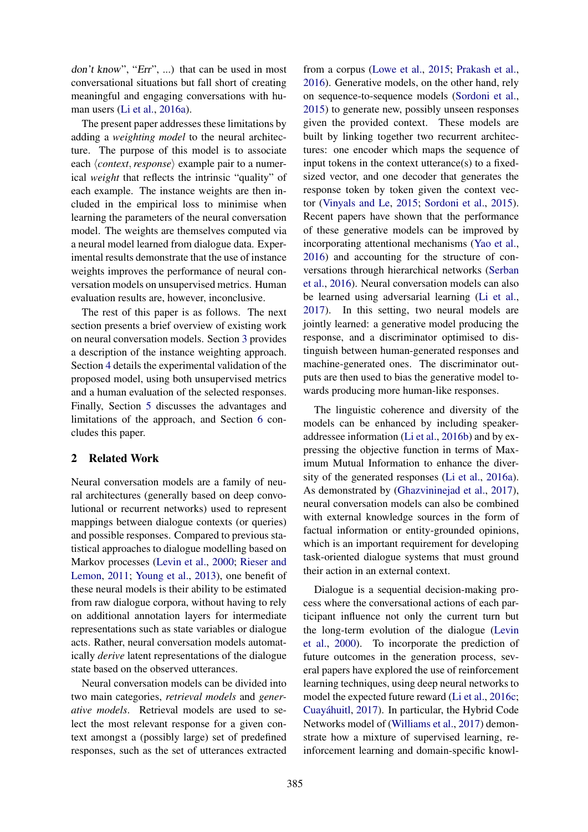don't know", "Err", ...) that can be used in most conversational situations but fall short of creating meaningful and engaging conversations with human users (Li et al., 2016a).

The present paper addresses these limitations by adding a *weighting model* to the neural architecture. The purpose of this model is to associate each  $\langle context, response \rangle$  example pair to a numerical *weight* that reflects the intrinsic "quality" of each example. The instance weights are then included in the empirical loss to minimise when learning the parameters of the neural conversation model. The weights are themselves computed via a neural model learned from dialogue data. Experimental results demonstrate that the use of instance weights improves the performance of neural conversation models on unsupervised metrics. Human evaluation results are, however, inconclusive.

The rest of this paper is as follows. The next section presents a brief overview of existing work on neural conversation models. Section 3 provides a description of the instance weighting approach. Section 4 details the experimental validation of the proposed model, using both unsupervised metrics and a human evaluation of the selected responses. Finally, Section 5 discusses the advantages and limitations of the approach, and Section 6 concludes this paper.

# 2 Related Work

Neural conversation models are a family of neural architectures (generally based on deep convolutional or recurrent networks) used to represent mappings between dialogue contexts (or queries) and possible responses. Compared to previous statistical approaches to dialogue modelling based on Markov processes (Levin et al., 2000; Rieser and Lemon, 2011; Young et al., 2013), one benefit of these neural models is their ability to be estimated from raw dialogue corpora, without having to rely on additional annotation layers for intermediate representations such as state variables or dialogue acts. Rather, neural conversation models automatically *derive* latent representations of the dialogue state based on the observed utterances.

Neural conversation models can be divided into two main categories, *retrieval models* and *generative models*. Retrieval models are used to select the most relevant response for a given context amongst a (possibly large) set of predefined responses, such as the set of utterances extracted

from a corpus (Lowe et al., 2015; Prakash et al., 2016). Generative models, on the other hand, rely on sequence-to-sequence models (Sordoni et al., 2015) to generate new, possibly unseen responses given the provided context. These models are built by linking together two recurrent architectures: one encoder which maps the sequence of input tokens in the context utterance(s) to a fixedsized vector, and one decoder that generates the response token by token given the context vector (Vinyals and Le, 2015; Sordoni et al., 2015). Recent papers have shown that the performance of these generative models can be improved by incorporating attentional mechanisms (Yao et al., 2016) and accounting for the structure of conversations through hierarchical networks (Serban et al., 2016). Neural conversation models can also be learned using adversarial learning (Li et al., 2017). In this setting, two neural models are jointly learned: a generative model producing the response, and a discriminator optimised to distinguish between human-generated responses and machine-generated ones. The discriminator outputs are then used to bias the generative model towards producing more human-like responses.

The linguistic coherence and diversity of the models can be enhanced by including speakeraddressee information (Li et al., 2016b) and by expressing the objective function in terms of Maximum Mutual Information to enhance the diversity of the generated responses (Li et al., 2016a). As demonstrated by (Ghazvininejad et al., 2017), neural conversation models can also be combined with external knowledge sources in the form of factual information or entity-grounded opinions, which is an important requirement for developing task-oriented dialogue systems that must ground their action in an external context.

Dialogue is a sequential decision-making process where the conversational actions of each participant influence not only the current turn but the long-term evolution of the dialogue (Levin et al., 2000). To incorporate the prediction of future outcomes in the generation process, several papers have explored the use of reinforcement learning techniques, using deep neural networks to model the expected future reward (Li et al., 2016c; Cuayáhuitl, 2017). In particular, the Hybrid Code Networks model of (Williams et al., 2017) demonstrate how a mixture of supervised learning, reinforcement learning and domain-specific knowl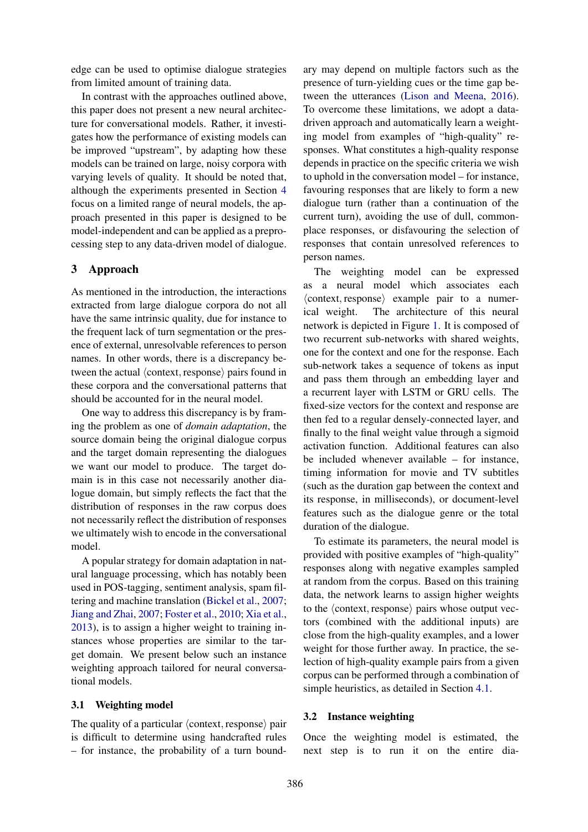edge can be used to optimise dialogue strategies from limited amount of training data.

In contrast with the approaches outlined above, this paper does not present a new neural architecture for conversational models. Rather, it investigates how the performance of existing models can be improved "upstream", by adapting how these models can be trained on large, noisy corpora with varying levels of quality. It should be noted that, although the experiments presented in Section 4 focus on a limited range of neural models, the approach presented in this paper is designed to be model-independent and can be applied as a preprocessing step to any data-driven model of dialogue.

# 3 Approach

As mentioned in the introduction, the interactions extracted from large dialogue corpora do not all have the same intrinsic quality, due for instance to the frequent lack of turn segmentation or the presence of external, unresolvable references to person names. In other words, there is a discrepancy between the actual  $\langle$  context, response $\rangle$  pairs found in these corpora and the conversational patterns that should be accounted for in the neural model.

One way to address this discrepancy is by framing the problem as one of *domain adaptation*, the source domain being the original dialogue corpus and the target domain representing the dialogues we want our model to produce. The target domain is in this case not necessarily another dialogue domain, but simply reflects the fact that the distribution of responses in the raw corpus does not necessarily reflect the distribution of responses we ultimately wish to encode in the conversational model.

A popular strategy for domain adaptation in natural language processing, which has notably been used in POS-tagging, sentiment analysis, spam filtering and machine translation (Bickel et al., 2007; Jiang and Zhai, 2007; Foster et al., 2010; Xia et al., 2013), is to assign a higher weight to training instances whose properties are similar to the target domain. We present below such an instance weighting approach tailored for neural conversational models.

### 3.1 Weighting model

The quality of a particular  $\langle$  context, response $\rangle$  pair is difficult to determine using handcrafted rules – for instance, the probability of a turn boundary may depend on multiple factors such as the presence of turn-yielding cues or the time gap between the utterances (Lison and Meena, 2016). To overcome these limitations, we adopt a datadriven approach and automatically learn a weighting model from examples of "high-quality" responses. What constitutes a high-quality response depends in practice on the specific criteria we wish to uphold in the conversation model – for instance, favouring responses that are likely to form a new dialogue turn (rather than a continuation of the current turn), avoiding the use of dull, commonplace responses, or disfavouring the selection of responses that contain unresolved references to person names.

The weighting model can be expressed as a neural model which associates each  $\langle$  context, response $\rangle$  example pair to a numerical weight. The architecture of this neural network is depicted in Figure 1. It is composed of two recurrent sub-networks with shared weights, one for the context and one for the response. Each sub-network takes a sequence of tokens as input and pass them through an embedding layer and a recurrent layer with LSTM or GRU cells. The fixed-size vectors for the context and response are then fed to a regular densely-connected layer, and finally to the final weight value through a sigmoid activation function. Additional features can also be included whenever available – for instance, timing information for movie and TV subtitles (such as the duration gap between the context and its response, in milliseconds), or document-level features such as the dialogue genre or the total duration of the dialogue.

To estimate its parameters, the neural model is provided with positive examples of "high-quality" responses along with negative examples sampled at random from the corpus. Based on this training data, the network learns to assign higher weights to the  $\langle$  context, response $\rangle$  pairs whose output vectors (combined with the additional inputs) are close from the high-quality examples, and a lower weight for those further away. In practice, the selection of high-quality example pairs from a given corpus can be performed through a combination of simple heuristics, as detailed in Section 4.1.

### 3.2 Instance weighting

Once the weighting model is estimated, the next step is to run it on the entire dia-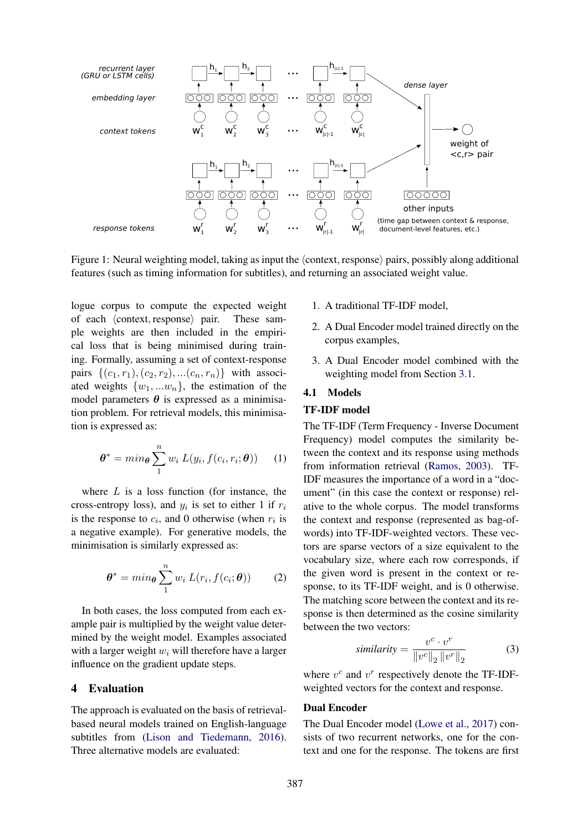

Figure 1: Neural weighting model, taking as input the  $\langle$  context, response $\rangle$  pairs, possibly along additional features (such as timing information for subtitles), and returning an associated weight value.

logue corpus to compute the expected weight of each  $\langle$  context, response $\rangle$  pair. These sample weights are then included in the empirical loss that is being minimised during training. Formally, assuming a set of context-response pairs  $\{(c_1, r_1), (c_2, r_2), \ldots, (c_n, r_n)\}\$  with associated weights  $\{w_1, \ldots w_n\}$ , the estimation of the model parameters  $\theta$  is expressed as a minimisation problem. For retrieval models, this minimisation is expressed as:

$$
\boldsymbol{\theta}^* = \min_{\boldsymbol{\theta}} \sum_{1}^{n} w_i \ L(y_i, f(c_i, r_i; \boldsymbol{\theta})) \qquad (1)
$$

where  $L$  is a loss function (for instance, the cross-entropy loss), and  $y_i$  is set to either 1 if  $r_i$ is the response to  $c_i$ , and 0 otherwise (when  $r_i$  is a negative example). For generative models, the minimisation is similarly expressed as:

$$
\boldsymbol{\theta}^* = \min_{\boldsymbol{\theta}} \sum_{1}^{n} w_i \ L(r_i, f(c_i; \boldsymbol{\theta})) \qquad (2)
$$

In both cases, the loss computed from each example pair is multiplied by the weight value determined by the weight model. Examples associated with a larger weight  $w_i$  will therefore have a larger influence on the gradient update steps.

### 4 Evaluation

The approach is evaluated on the basis of retrievalbased neural models trained on English-language subtitles from (Lison and Tiedemann, 2016). Three alternative models are evaluated:

- 1. A traditional TF-IDF model,
- 2. A Dual Encoder model trained directly on the corpus examples,
- 3. A Dual Encoder model combined with the weighting model from Section 3.1.

### 4.1 Models

### TF-IDF model

The TF-IDF (Term Frequency - Inverse Document Frequency) model computes the similarity between the context and its response using methods from information retrieval (Ramos, 2003). TF-IDF measures the importance of a word in a "document" (in this case the context or response) relative to the whole corpus. The model transforms the context and response (represented as bag-ofwords) into TF-IDF-weighted vectors. These vectors are sparse vectors of a size equivalent to the vocabulary size, where each row corresponds, if the given word is present in the context or response, to its TF-IDF weight, and is 0 otherwise. The matching score between the context and its response is then determined as the cosine similarity between the two vectors:

$$
similarity = \frac{v^c \cdot v^r}{\|v^c\|_2 \|v^r\|_2}
$$
 (3)

where  $v^c$  and  $v^r$  respectively denote the TF-IDFweighted vectors for the context and response.

### Dual Encoder

The Dual Encoder model (Lowe et al., 2017) consists of two recurrent networks, one for the context and one for the response. The tokens are first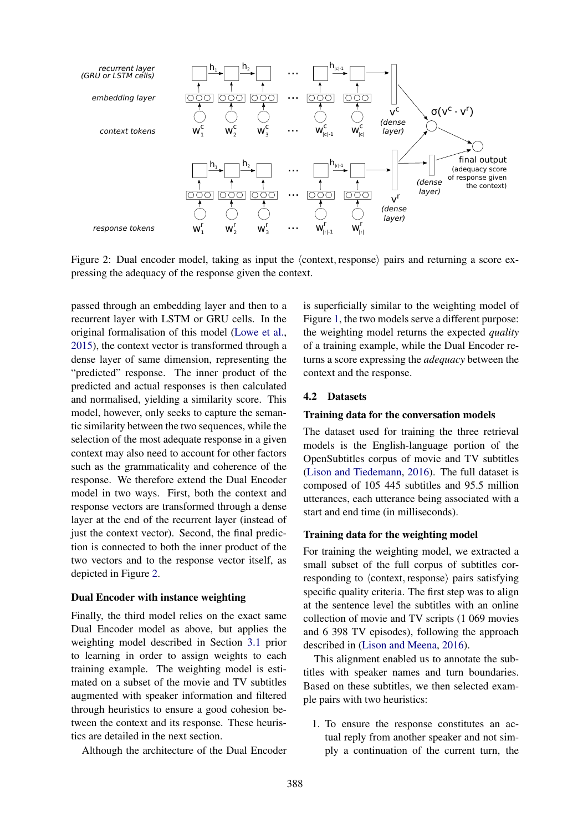

Figure 2: Dual encoder model, taking as input the  $\langle$  context, response $\rangle$  pairs and returning a score expressing the adequacy of the response given the context.

passed through an embedding layer and then to a recurrent layer with LSTM or GRU cells. In the original formalisation of this model (Lowe et al., 2015), the context vector is transformed through a dense layer of same dimension, representing the "predicted" response. The inner product of the predicted and actual responses is then calculated and normalised, yielding a similarity score. This model, however, only seeks to capture the semantic similarity between the two sequences, while the selection of the most adequate response in a given context may also need to account for other factors such as the grammaticality and coherence of the response. We therefore extend the Dual Encoder model in two ways. First, both the context and response vectors are transformed through a dense layer at the end of the recurrent layer (instead of just the context vector). Second, the final prediction is connected to both the inner product of the two vectors and to the response vector itself, as depicted in Figure 2.

#### Dual Encoder with instance weighting

Finally, the third model relies on the exact same Dual Encoder model as above, but applies the weighting model described in Section 3.1 prior to learning in order to assign weights to each training example. The weighting model is estimated on a subset of the movie and TV subtitles augmented with speaker information and filtered through heuristics to ensure a good cohesion between the context and its response. These heuristics are detailed in the next section.

Although the architecture of the Dual Encoder

is superficially similar to the weighting model of Figure 1, the two models serve a different purpose: the weighting model returns the expected *quality* of a training example, while the Dual Encoder returns a score expressing the *adequacy* between the context and the response.

#### 4.2 Datasets

#### Training data for the conversation models

The dataset used for training the three retrieval models is the English-language portion of the OpenSubtitles corpus of movie and TV subtitles (Lison and Tiedemann, 2016). The full dataset is composed of 105 445 subtitles and 95.5 million utterances, each utterance being associated with a start and end time (in milliseconds).

#### Training data for the weighting model

For training the weighting model, we extracted a small subset of the full corpus of subtitles corresponding to  $\langle$  context, response $\rangle$  pairs satisfying specific quality criteria. The first step was to align at the sentence level the subtitles with an online collection of movie and TV scripts (1 069 movies and 6 398 TV episodes), following the approach described in (Lison and Meena, 2016).

This alignment enabled us to annotate the subtitles with speaker names and turn boundaries. Based on these subtitles, we then selected example pairs with two heuristics:

1. To ensure the response constitutes an actual reply from another speaker and not simply a continuation of the current turn, the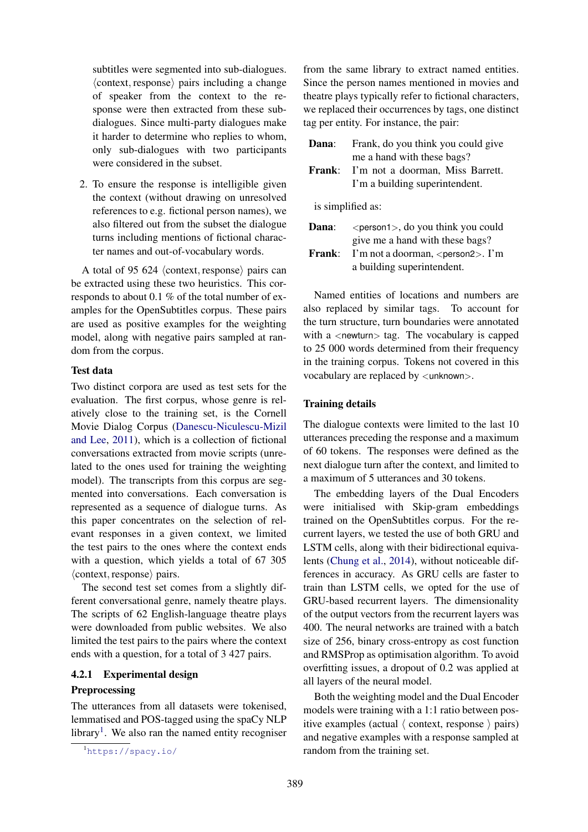subtitles were segmented into sub-dialogues.  $\langle$  context, response $\rangle$  pairs including a change of speaker from the context to the response were then extracted from these subdialogues. Since multi-party dialogues make it harder to determine who replies to whom, only sub-dialogues with two participants were considered in the subset.

2. To ensure the response is intelligible given the context (without drawing on unresolved references to e.g. fictional person names), we also filtered out from the subset the dialogue turns including mentions of fictional character names and out-of-vocabulary words.

A total of 95 624  $\langle$  context, response $\rangle$  pairs can be extracted using these two heuristics. This corresponds to about 0.1 % of the total number of examples for the OpenSubtitles corpus. These pairs are used as positive examples for the weighting model, along with negative pairs sampled at random from the corpus.

#### Test data

Two distinct corpora are used as test sets for the evaluation. The first corpus, whose genre is relatively close to the training set, is the Cornell Movie Dialog Corpus (Danescu-Niculescu-Mizil and Lee, 2011), which is a collection of fictional conversations extracted from movie scripts (unrelated to the ones used for training the weighting model). The transcripts from this corpus are segmented into conversations. Each conversation is represented as a sequence of dialogue turns. As this paper concentrates on the selection of relevant responses in a given context, we limited the test pairs to the ones where the context ends with a question, which yields a total of 67 305  $\langle$  context, response $\rangle$  pairs.

The second test set comes from a slightly different conversational genre, namely theatre plays. The scripts of 62 English-language theatre plays were downloaded from public websites. We also limited the test pairs to the pairs where the context ends with a question, for a total of 3 427 pairs.

# 4.2.1 Experimental design **Preprocessing**

The utterances from all datasets were tokenised, lemmatised and POS-tagged using the spaCy NLP library<sup>1</sup>. We also ran the named entity recogniser

from the same library to extract named entities. Since the person names mentioned in movies and theatre plays typically refer to fictional characters, we replaced their occurrences by tags, one distinct tag per entity. For instance, the pair:

| Dana:             | Frank, do you think you could give                                                                                                                                                                                                                                                                                                                                                                   |  |  |  |  |  |  |
|-------------------|------------------------------------------------------------------------------------------------------------------------------------------------------------------------------------------------------------------------------------------------------------------------------------------------------------------------------------------------------------------------------------------------------|--|--|--|--|--|--|
|                   | me a hand with these bags?                                                                                                                                                                                                                                                                                                                                                                           |  |  |  |  |  |  |
| <b>Frank:</b>     | I'm not a doorman, Miss Barrett.                                                                                                                                                                                                                                                                                                                                                                     |  |  |  |  |  |  |
|                   | I'm a building superintendent.                                                                                                                                                                                                                                                                                                                                                                       |  |  |  |  |  |  |
|                   |                                                                                                                                                                                                                                                                                                                                                                                                      |  |  |  |  |  |  |
| is simplified as: |                                                                                                                                                                                                                                                                                                                                                                                                      |  |  |  |  |  |  |
| Dana:             | $\epsilon$ /> $\epsilon$ /> $\epsilon$ /> $\epsilon$ /> $\epsilon$ /> $\epsilon$ /> $\epsilon$ /> $\epsilon$ /> $\epsilon$ /> $\epsilon$ /> $\epsilon$ /> $\epsilon$ /> $\epsilon$ /> $\epsilon$ /> $\epsilon$ /> $\epsilon$ /> $\epsilon$ /> $\epsilon$ /> $\epsilon$ /> $\epsilon$ /> $\epsilon$ /> $\epsilon$ /> $\epsilon$ /> $\epsilon$ /> $\epsilon$ /> $\epsilon$ /> $\epsilon$ /> $\epsilon$ |  |  |  |  |  |  |
|                   | give me a hand with these bags?                                                                                                                                                                                                                                                                                                                                                                      |  |  |  |  |  |  |
| <b>Frank:</b>     | I'm not a doorman, <person2>. I'm</person2>                                                                                                                                                                                                                                                                                                                                                          |  |  |  |  |  |  |
|                   | a building superintendent.                                                                                                                                                                                                                                                                                                                                                                           |  |  |  |  |  |  |

Named entities of locations and numbers are also replaced by similar tags. To account for the turn structure, turn boundaries were annotated with a <newturn> tag. The vocabulary is capped to 25 000 words determined from their frequency in the training corpus. Tokens not covered in this vocabulary are replaced by  $\langle$ unknown $\rangle$ .

### Training details

The dialogue contexts were limited to the last 10 utterances preceding the response and a maximum of 60 tokens. The responses were defined as the next dialogue turn after the context, and limited to a maximum of 5 utterances and 30 tokens.

The embedding layers of the Dual Encoders were initialised with Skip-gram embeddings trained on the OpenSubtitles corpus. For the recurrent layers, we tested the use of both GRU and LSTM cells, along with their bidirectional equivalents (Chung et al., 2014), without noticeable differences in accuracy. As GRU cells are faster to train than LSTM cells, we opted for the use of GRU-based recurrent layers. The dimensionality of the output vectors from the recurrent layers was 400. The neural networks are trained with a batch size of 256, binary cross-entropy as cost function and RMSProp as optimisation algorithm. To avoid overfitting issues, a dropout of 0.2 was applied at all layers of the neural model.

Both the weighting model and the Dual Encoder models were training with a 1:1 ratio between positive examples (actual  $\langle$  context, response  $\rangle$  pairs) and negative examples with a response sampled at random from the training set.

<sup>1</sup>https://spacy.io/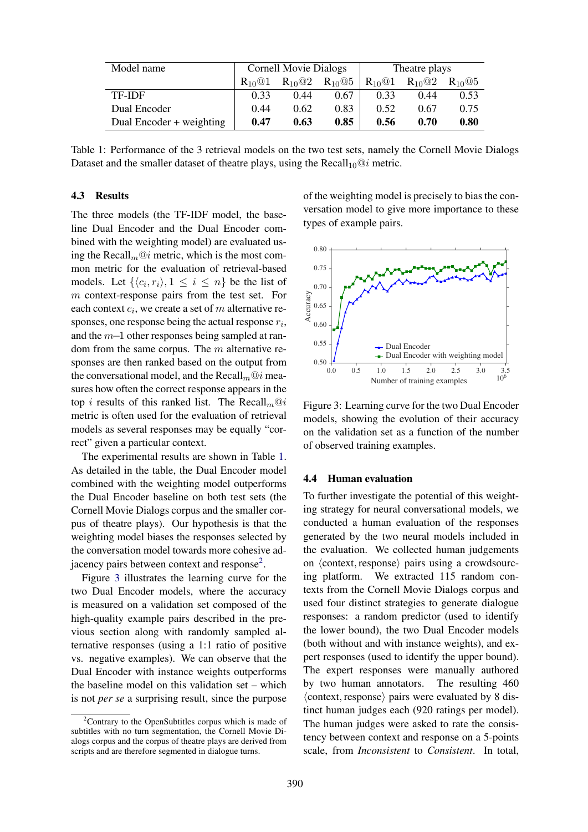| Model name               | <b>Cornell Movie Dialogs</b> |                                     |             | Theatre plays                       |                                     |            |
|--------------------------|------------------------------|-------------------------------------|-------------|-------------------------------------|-------------------------------------|------------|
|                          | $R_{10}$ <sup>Q</sup> 1      | $R_{10}$ <sup><math>@2</math></sup> | $R_{10}$ @5 | $R_{10}$ <sup><math>@1</math></sup> | $R_{10}$ <sup><math>@2</math></sup> | $R_{10}@5$ |
| <b>TF-IDF</b>            | 0.33                         | 0.44                                | 0.67        | 0.33                                | 0.44                                | 0.53       |
| Dual Encoder             | 0.44                         | 0.62                                | 0.83        | 0.52                                | 0.67                                | 0.75       |
| Dual Encoder + weighting | 0.47                         | 0.63                                | 0.85        | 0.56                                | 0.70                                | 0.80       |

Table 1: Performance of the 3 retrieval models on the two test sets, namely the Cornell Movie Dialogs Dataset and the smaller dataset of theatre plays, using the  $Recall_{10}@i$  metric.

### 4.3 Results

The three models (the TF-IDF model, the baseline Dual Encoder and the Dual Encoder combined with the weighting model) are evaluated using the Recall<sub>m</sub> $@i$  metric, which is the most common metric for the evaluation of retrieval-based models. Let  $\{\langle c_i, r_i \rangle, 1 \le i \le n\}$  be the list of m context-response pairs from the test set. For each context  $c_i$ , we create a set of m alternative responses, one response being the actual response  $r_i$ , and the m−1 other responses being sampled at random from the same corpus. The  $m$  alternative responses are then ranked based on the output from the conversational model, and the Recall $_m@i$  measures how often the correct response appears in the top *i* results of this ranked list. The Recall $m@i$ metric is often used for the evaluation of retrieval models as several responses may be equally "correct" given a particular context.

The experimental results are shown in Table 1. As detailed in the table, the Dual Encoder model combined with the weighting model outperforms the Dual Encoder baseline on both test sets (the Cornell Movie Dialogs corpus and the smaller corpus of theatre plays). Our hypothesis is that the weighting model biases the responses selected by the conversation model towards more cohesive adjacency pairs between context and response<sup>2</sup>.

Figure 3 illustrates the learning curve for the two Dual Encoder models, where the accuracy is measured on a validation set composed of the high-quality example pairs described in the previous section along with randomly sampled alternative responses (using a 1:1 ratio of positive vs. negative examples). We can observe that the Dual Encoder with instance weights outperforms the baseline model on this validation set – which is not *per se* a surprising result, since the purpose of the weighting model is precisely to bias the conversation model to give more importance to these types of example pairs.



Figure 3: Learning curve for the two Dual Encoder models, showing the evolution of their accuracy on the validation set as a function of the number of observed training examples.

#### 4.4 Human evaluation

To further investigate the potential of this weighting strategy for neural conversational models, we conducted a human evaluation of the responses generated by the two neural models included in the evaluation. We collected human judgements on  $\langle$  context, response $\rangle$  pairs using a crowdsourcing platform. We extracted 115 random contexts from the Cornell Movie Dialogs corpus and used four distinct strategies to generate dialogue responses: a random predictor (used to identify the lower bound), the two Dual Encoder models (both without and with instance weights), and expert responses (used to identify the upper bound). The expert responses were manually authored by two human annotators. The resulting 460  $\langle$  context, response $\rangle$  pairs were evaluated by 8 distinct human judges each (920 ratings per model). The human judges were asked to rate the consistency between context and response on a 5-points scale, from *Inconsistent* to *Consistent*. In total,

 $2$ Contrary to the OpenSubtitles corpus which is made of subtitles with no turn segmentation, the Cornell Movie Dialogs corpus and the corpus of theatre plays are derived from scripts and are therefore segmented in dialogue turns.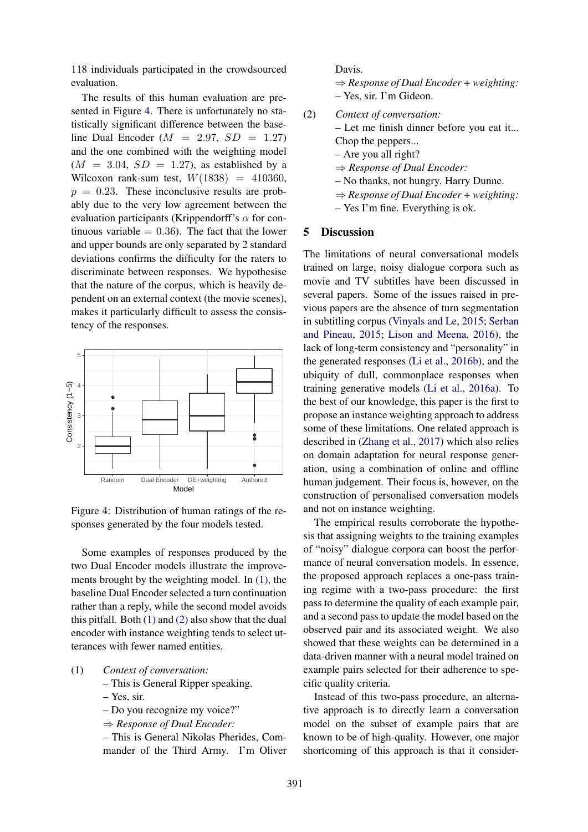118 individuals participated in the crowdsourced evaluation.

The results of this human evaluation are presented in Figure 4. There is unfortunately no statistically significant difference between the baseline Dual Encoder ( $M = 2.97$ ,  $SD = 1.27$ ) and the one combined with the weighting model  $(M = 3.04, SD = 1.27)$ , as established by a Wilcoxon rank-sum test,  $W(1838) = 410360$ ,  $p = 0.23$ . These inconclusive results are probably due to the very low agreement between the evaluation participants (Krippendorff's  $\alpha$  for continuous variable  $= 0.36$ ). The fact that the lower and upper bounds are only separated by 2 standard deviations confirms the difficulty for the raters to discriminate between responses. We hypothesise that the nature of the corpus, which is heavily dependent on an external context (the movie scenes), makes it particularly difficult to assess the consistency of the responses.



Figure 4: Distribution of human ratings of the responses generated by the four models tested.

Some examples of responses produced by the two Dual Encoder models illustrate the improvements brought by the weighting model. In (1), the baseline Dual Encoder selected a turn continuation rather than a reply, while the second model avoids this pitfall. Both  $(1)$  and  $(2)$  also show that the dual encoder with instance weighting tends to select utterances with fewer named entities.

- (1) *Context of conversation:*
	- This is General Ripper speaking.
	- Yes, sir.
	- Do you recognize my voice?"
	- ⇒ *Response of Dual Encoder:*

– This is General Nikolas Pherides, Commander of the Third Army. I'm Oliver



(2) *Context of conversation:* – Let me finish dinner before you eat it... Chop the peppers... – Are you all right? ⇒ *Response of Dual Encoder:* – No thanks, not hungry. Harry Dunne. ⇒ *Response of Dual Encoder + weighting:* – Yes I'm fine. Everything is ok.

### 5 Discussion

The limitations of neural conversational models trained on large, noisy dialogue corpora such as movie and TV subtitles have been discussed in several papers. Some of the issues raised in previous papers are the absence of turn segmentation in subtitling corpus (Vinyals and Le, 2015; Serban and Pineau, 2015; Lison and Meena, 2016), the lack of long-term consistency and "personality" in the generated responses (Li et al., 2016b), and the ubiquity of dull, commonplace responses when training generative models (Li et al., 2016a). To the best of our knowledge, this paper is the first to propose an instance weighting approach to address some of these limitations. One related approach is described in (Zhang et al., 2017) which also relies on domain adaptation for neural response generation, using a combination of online and offline human judgement. Their focus is, however, on the construction of personalised conversation models and not on instance weighting.

The empirical results corroborate the hypothesis that assigning weights to the training examples of "noisy" dialogue corpora can boost the performance of neural conversation models. In essence, the proposed approach replaces a one-pass training regime with a two-pass procedure: the first pass to determine the quality of each example pair, and a second pass to update the model based on the observed pair and its associated weight. We also showed that these weights can be determined in a data-driven manner with a neural model trained on example pairs selected for their adherence to specific quality criteria.

Instead of this two-pass procedure, an alternative approach is to directly learn a conversation model on the subset of example pairs that are known to be of high-quality. However, one major shortcoming of this approach is that it consider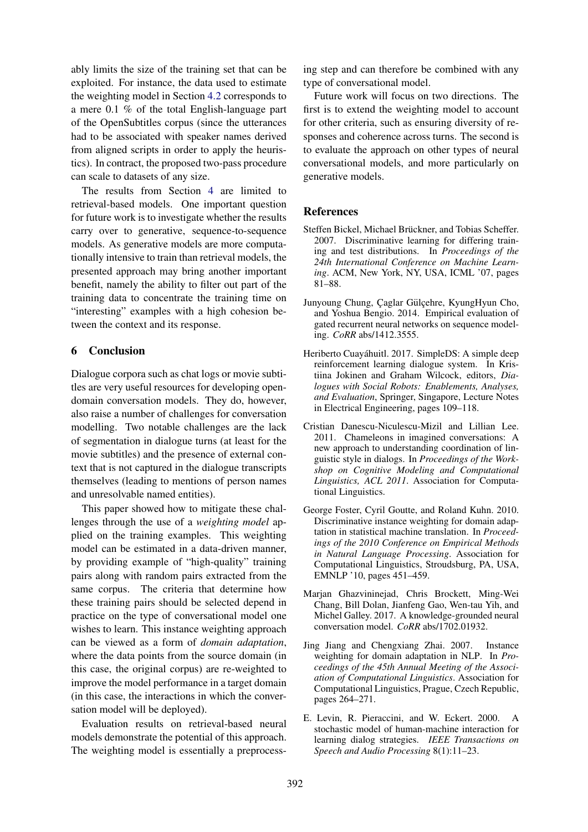ably limits the size of the training set that can be exploited. For instance, the data used to estimate the weighting model in Section 4.2 corresponds to a mere 0.1 % of the total English-language part of the OpenSubtitles corpus (since the utterances had to be associated with speaker names derived from aligned scripts in order to apply the heuristics). In contract, the proposed two-pass procedure can scale to datasets of any size.

The results from Section 4 are limited to retrieval-based models. One important question for future work is to investigate whether the results carry over to generative, sequence-to-sequence models. As generative models are more computationally intensive to train than retrieval models, the presented approach may bring another important benefit, namely the ability to filter out part of the training data to concentrate the training time on "interesting" examples with a high cohesion between the context and its response.

# 6 Conclusion

Dialogue corpora such as chat logs or movie subtitles are very useful resources for developing opendomain conversation models. They do, however, also raise a number of challenges for conversation modelling. Two notable challenges are the lack of segmentation in dialogue turns (at least for the movie subtitles) and the presence of external context that is not captured in the dialogue transcripts themselves (leading to mentions of person names and unresolvable named entities).

This paper showed how to mitigate these challenges through the use of a *weighting model* applied on the training examples. This weighting model can be estimated in a data-driven manner, by providing example of "high-quality" training pairs along with random pairs extracted from the same corpus. The criteria that determine how these training pairs should be selected depend in practice on the type of conversational model one wishes to learn. This instance weighting approach can be viewed as a form of *domain adaptation*, where the data points from the source domain (in this case, the original corpus) are re-weighted to improve the model performance in a target domain (in this case, the interactions in which the conversation model will be deployed).

Evaluation results on retrieval-based neural models demonstrate the potential of this approach. The weighting model is essentially a preprocess-

ing step and can therefore be combined with any type of conversational model.

Future work will focus on two directions. The first is to extend the weighting model to account for other criteria, such as ensuring diversity of responses and coherence across turns. The second is to evaluate the approach on other types of neural conversational models, and more particularly on generative models.

### References

- Steffen Bickel, Michael Brückner, and Tobias Scheffer. 2007. Discriminative learning for differing training and test distributions. In *Proceedings of the 24th International Conference on Machine Learning*. ACM, New York, NY, USA, ICML '07, pages 81–88.
- Junyoung Chung, Çaglar Gülçehre, KyungHyun Cho, and Yoshua Bengio. 2014. Empirical evaluation of gated recurrent neural networks on sequence modeling. *CoRR* abs/1412.3555.
- Heriberto Cuayáhuitl. 2017. SimpleDS: A simple deep reinforcement learning dialogue system. In Kristiina Jokinen and Graham Wilcock, editors, *Dialogues with Social Robots: Enablements, Analyses, and Evaluation*, Springer, Singapore, Lecture Notes in Electrical Engineering, pages 109–118.
- Cristian Danescu-Niculescu-Mizil and Lillian Lee. 2011. Chameleons in imagined conversations: A new approach to understanding coordination of linguistic style in dialogs. In *Proceedings of the Workshop on Cognitive Modeling and Computational Linguistics, ACL 2011*. Association for Computational Linguistics.
- George Foster, Cyril Goutte, and Roland Kuhn. 2010. Discriminative instance weighting for domain adaptation in statistical machine translation. In *Proceedings of the 2010 Conference on Empirical Methods in Natural Language Processing*. Association for Computational Linguistics, Stroudsburg, PA, USA, EMNLP '10, pages 451–459.
- Marjan Ghazvininejad, Chris Brockett, Ming-Wei Chang, Bill Dolan, Jianfeng Gao, Wen-tau Yih, and Michel Galley. 2017. A knowledge-grounded neural conversation model. *CoRR* abs/1702.01932.
- Jing Jiang and Chengxiang Zhai. 2007. Instance weighting for domain adaptation in NLP. In *Proceedings of the 45th Annual Meeting of the Association of Computational Linguistics*. Association for Computational Linguistics, Prague, Czech Republic, pages 264–271.
- E. Levin, R. Pieraccini, and W. Eckert. 2000. A stochastic model of human-machine interaction for learning dialog strategies. *IEEE Transactions on Speech and Audio Processing* 8(1):11–23.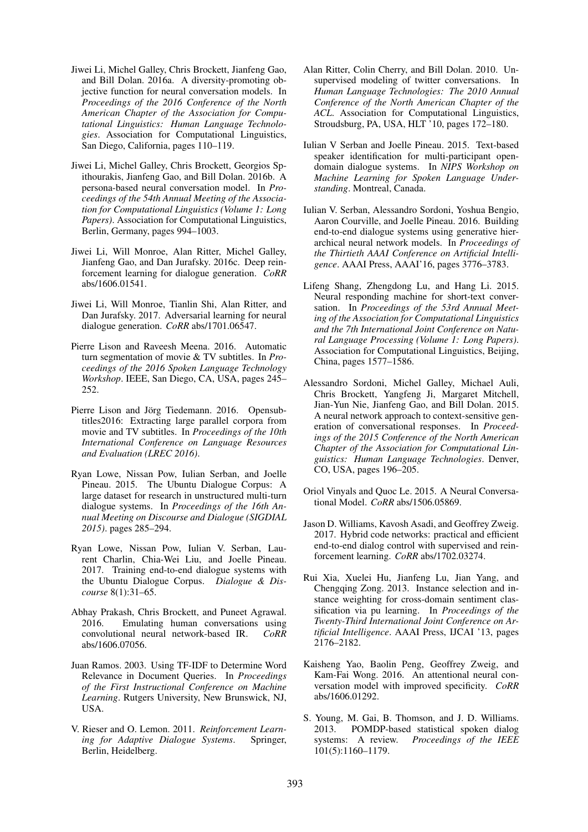- Jiwei Li, Michel Galley, Chris Brockett, Jianfeng Gao, and Bill Dolan. 2016a. A diversity-promoting objective function for neural conversation models. In *Proceedings of the 2016 Conference of the North American Chapter of the Association for Computational Linguistics: Human Language Technologies*. Association for Computational Linguistics, San Diego, California, pages 110–119.
- Jiwei Li, Michel Galley, Chris Brockett, Georgios Spithourakis, Jianfeng Gao, and Bill Dolan. 2016b. A persona-based neural conversation model. In *Proceedings of the 54th Annual Meeting of the Association for Computational Linguistics (Volume 1: Long Papers)*. Association for Computational Linguistics, Berlin, Germany, pages 994–1003.
- Jiwei Li, Will Monroe, Alan Ritter, Michel Galley, Jianfeng Gao, and Dan Jurafsky. 2016c. Deep reinforcement learning for dialogue generation. *CoRR* abs/1606.01541.
- Jiwei Li, Will Monroe, Tianlin Shi, Alan Ritter, and Dan Jurafsky. 2017. Adversarial learning for neural dialogue generation. *CoRR* abs/1701.06547.
- Pierre Lison and Raveesh Meena. 2016. Automatic turn segmentation of movie & TV subtitles. In *Proceedings of the 2016 Spoken Language Technology Workshop*. IEEE, San Diego, CA, USA, pages 245– 252.
- Pierre Lison and Jörg Tiedemann. 2016. Opensubtitles2016: Extracting large parallel corpora from movie and TV subtitles. In *Proceedings of the 10th International Conference on Language Resources and Evaluation (LREC 2016)*.
- Ryan Lowe, Nissan Pow, Iulian Serban, and Joelle Pineau. 2015. The Ubuntu Dialogue Corpus: A large dataset for research in unstructured multi-turn dialogue systems. In *Proceedings of the 16th Annual Meeting on Discourse and Dialogue (SIGDIAL 2015)*. pages 285–294.
- Ryan Lowe, Nissan Pow, Iulian V. Serban, Laurent Charlin, Chia-Wei Liu, and Joelle Pineau. 2017. Training end-to-end dialogue systems with the Ubuntu Dialogue Corpus. *Dialogue & Discourse* 8(1):31–65.
- Abhay Prakash, Chris Brockett, and Puneet Agrawal. 2016. Emulating human conversations using convolutional neural network-based IR. *CoRR* abs/1606.07056.
- Juan Ramos. 2003. Using TF-IDF to Determine Word Relevance in Document Queries. In *Proceedings of the First Instructional Conference on Machine Learning*. Rutgers University, New Brunswick, NJ, USA.
- V. Rieser and O. Lemon. 2011. *Reinforcement Learning for Adaptive Dialogue Systems*. Springer, Berlin, Heidelberg.
- Alan Ritter, Colin Cherry, and Bill Dolan. 2010. Unsupervised modeling of twitter conversations. In *Human Language Technologies: The 2010 Annual Conference of the North American Chapter of the ACL*. Association for Computational Linguistics, Stroudsburg, PA, USA, HLT '10, pages 172–180.
- Iulian V Serban and Joelle Pineau. 2015. Text-based speaker identification for multi-participant opendomain dialogue systems. In *NIPS Workshop on Machine Learning for Spoken Language Understanding*. Montreal, Canada.
- Iulian V. Serban, Alessandro Sordoni, Yoshua Bengio, Aaron Courville, and Joelle Pineau. 2016. Building end-to-end dialogue systems using generative hierarchical neural network models. In *Proceedings of the Thirtieth AAAI Conference on Artificial Intelligence*. AAAI Press, AAAI'16, pages 3776–3783.
- Lifeng Shang, Zhengdong Lu, and Hang Li. 2015. Neural responding machine for short-text conversation. In *Proceedings of the 53rd Annual Meeting of the Association for Computational Linguistics and the 7th International Joint Conference on Natural Language Processing (Volume 1: Long Papers)*. Association for Computational Linguistics, Beijing, China, pages 1577–1586.
- Alessandro Sordoni, Michel Galley, Michael Auli, Chris Brockett, Yangfeng Ji, Margaret Mitchell, Jian-Yun Nie, Jianfeng Gao, and Bill Dolan. 2015. A neural network approach to context-sensitive generation of conversational responses. In *Proceedings of the 2015 Conference of the North American Chapter of the Association for Computational Linguistics: Human Language Technologies*. Denver, CO, USA, pages 196–205.
- Oriol Vinyals and Quoc Le. 2015. A Neural Conversational Model. *CoRR* abs/1506.05869.
- Jason D. Williams, Kavosh Asadi, and Geoffrey Zweig. 2017. Hybrid code networks: practical and efficient end-to-end dialog control with supervised and reinforcement learning. *CoRR* abs/1702.03274.
- Rui Xia, Xuelei Hu, Jianfeng Lu, Jian Yang, and Chengqing Zong. 2013. Instance selection and instance weighting for cross-domain sentiment classification via pu learning. In *Proceedings of the Twenty-Third International Joint Conference on Artificial Intelligence*. AAAI Press, IJCAI '13, pages 2176–2182.
- Kaisheng Yao, Baolin Peng, Geoffrey Zweig, and Kam-Fai Wong. 2016. An attentional neural conversation model with improved specificity. *CoRR* abs/1606.01292.
- S. Young, M. Gai, B. Thomson, and J. D. Williams. 2013. POMDP-based statistical spoken dialog systems: A review. *Proceedings of the IEEE* 101(5):1160–1179.